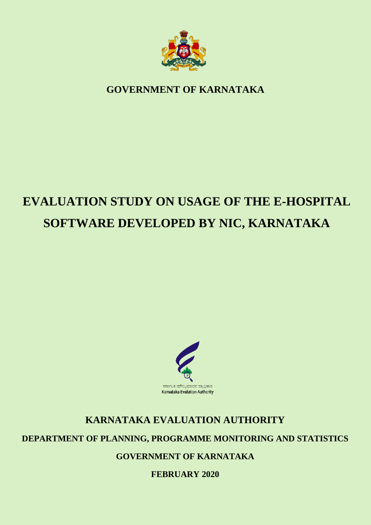

**GOVERNMENT OF KARNATAKA**

# **EVALUATION STUDY ON USAGE OF THE E-HOSPITAL SOFTWARE DEVELOPED BY NIC, KARNATAKA**



## **KARNATAKA EVALUATION AUTHORITY**

## **DEPARTMENT OF PLANNING, PROGRAMME MONITORING AND STATISTICS**

**GOVERNMENT OF KARNATAKA**

**FEBRUARY 2020**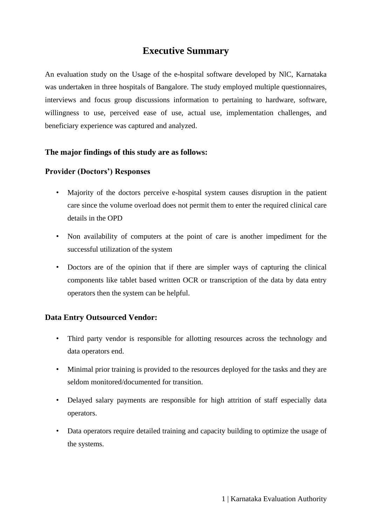## **Executive Summary**

An evaluation study on the Usage of the e-hospital software developed by NlC, Karnataka was undertaken in three hospitals of Bangalore. The study employed multiple questionnaires, interviews and focus group discussions information to pertaining to hardware, software, willingness to use, perceived ease of use, actual use, implementation challenges, and beneficiary experience was captured and analyzed.

## **The major findings of this study are as follows:**

#### **Provider (Doctors') Responses**

- Majority of the doctors perceive e-hospital system causes disruption in the patient care since the volume overload does not permit them to enter the required clinical care details in the OPD
- Non availability of computers at the point of care is another impediment for the successful utilization of the system
- Doctors are of the opinion that if there are simpler ways of capturing the clinical components like tablet based written OCR or transcription of the data by data entry operators then the system can be helpful.

#### **Data Entry Outsourced Vendor:**

- Third party vendor is responsible for allotting resources across the technology and data operators end.
- Minimal prior training is provided to the resources deployed for the tasks and they are seldom monitored/documented for transition.
- Delayed salary payments are responsible for high attrition of staff especially data operators.
- Data operators require detailed training and capacity building to optimize the usage of the systems.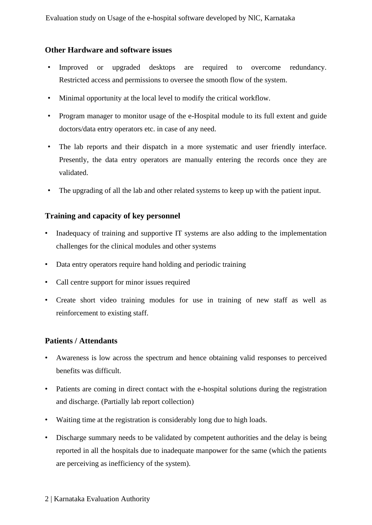## **Other Hardware and software issues**

- Improved or upgraded desktops are required to overcome redundancy. Restricted access and permissions to oversee the smooth flow of the system.
- Minimal opportunity at the local level to modify the critical workflow.
- Program manager to monitor usage of the e-Hospital module to its full extent and guide doctors/data entry operators etc. in case of any need.
- The lab reports and their dispatch in a more systematic and user friendly interface. Presently, the data entry operators are manually entering the records once they are validated.
- The upgrading of all the lab and other related systems to keep up with the patient input.

## **Training and capacity of key personnel**

- Inadequacy of training and supportive IT systems are also adding to the implementation challenges for the clinical modules and other systems
- Data entry operators require hand holding and periodic training
- Call centre support for minor issues required
- Create short video training modules for use in training of new staff as well as reinforcement to existing staff.

## **Patients / Attendants**

- Awareness is low across the spectrum and hence obtaining valid responses to perceived benefits was difficult.
- Patients are coming in direct contact with the e-hospital solutions during the registration and discharge. (Partially lab report collection)
- Waiting time at the registration is considerably long due to high loads.
- Discharge summary needs to be validated by competent authorities and the delay is being reported in all the hospitals due to inadequate manpower for the same (which the patients are perceiving as inefficiency of the system).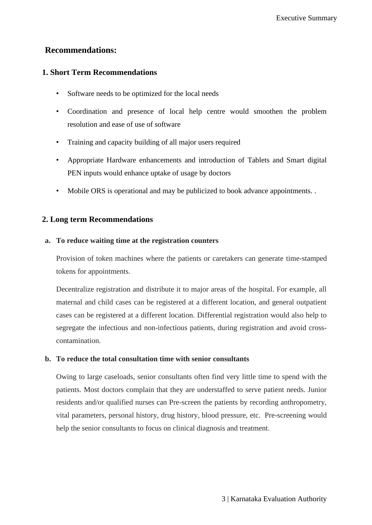## **Recommendations:**

## **1. Short Term Recommendations**

- Software needs to be optimized for the local needs
- Coordination and presence of local help centre would smoothen the problem resolution and ease of use of software
- Training and capacity building of all major users required
- Appropriate Hardware enhancements and introduction of Tablets and Smart digital PEN inputs would enhance uptake of usage by doctors
- Mobile ORS is operational and may be publicized to book advance appointments. .

## **2. Long term Recommendations**

## **a. To reduce waiting time at the registration counters**

Provision of token machines where the patients or caretakers can generate time-stamped tokens for appointments.

Decentralize registration and distribute it to major areas of the hospital. For example, all maternal and child cases can be registered at a different location, and general outpatient cases can be registered at a different location. Differential registration would also help to segregate the infectious and non-infectious patients, during registration and avoid crosscontamination.

## **b. To reduce the total consultation time with senior consultants**

Owing to large caseloads, senior consultants often find very little time to spend with the patients. Most doctors complain that they are understaffed to serve patient needs. Junior residents and/or qualified nurses can Pre-screen the patients by recording anthropometry, vital parameters, personal history, drug history, blood pressure, etc. Pre-screening would help the senior consultants to focus on clinical diagnosis and treatment.